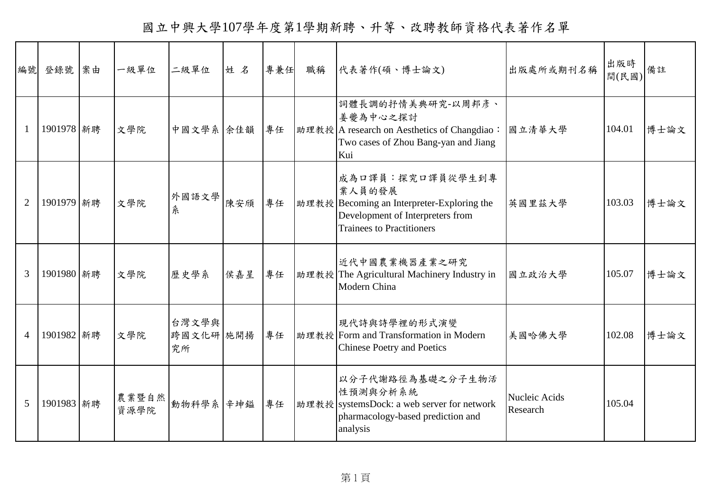國立中興大學107學年度第1學期新聘、升等、改聘教師資格代表著作名單

| 編號             | 登錄號        | 案由 | 一級單位          | 二級單位                     | 姓名  | 專兼任 | 職稱 | 代表著作(碩、博士論文)                                                                                                                                     | 出版處所或期刊名稱                 | 出版時<br>間(民國) | 備註   |
|----------------|------------|----|---------------|--------------------------|-----|-----|----|--------------------------------------------------------------------------------------------------------------------------------------------------|---------------------------|--------------|------|
| $\mathbf{1}$   | 1901978 新聘 |    | 文學院           | 中國文學系 余佳韻                |     | 專任  |    | 詞體長調的抒情美典研究-以周邦彥、<br>姜夔為中心之探討<br>助理教授 A research on Aesthetics of Changdiao:<br>Two cases of Zhou Bang-yan and Jiang<br>Kui                      | 國立清華大學                    | 104.01       | 博士論文 |
| $\overline{2}$ | 1901979 新聘 |    | 文學院           | 外國語文學<br>糸               | 陳安頎 | 專任  |    | 成為口譯員:探究口譯員從學生到專<br>業人員的發展<br>助理教授 Becoming an Interpreter-Exploring the<br>Development of Interpreters from<br><b>Trainees to Practitioners</b> | 英國里茲大學                    | 103.03       | 博士論文 |
| 3              | 1901980 新聘 |    | 文學院           | 歷史學系                     | 侯嘉星 | 專任  |    | 近代中國農業機器產業之研究<br>助理教授 The Agricultural Machinery Industry in<br>Modern China                                                                     | 國立政治大學                    | 105.07       | 博士論文 |
| $\overline{4}$ | 1901982 新聘 |    | 文學院           | 台灣文學與<br>跨國文化研 施開揚<br>究所 |     | 專任  |    | 現代詩與詩學裡的形式演變<br>助理教授 Form and Transformation in Modern<br><b>Chinese Poetry and Poetics</b>                                                      | 美國哈佛大學                    | 102.08       | 博士論文 |
| 5              | 1901983 新聘 |    | 農業暨自然<br>資源學院 | 動物科學系 辛坤缢                |     | 專任  |    | 以分子代謝路徑為基礎之分子生物活<br>性預測與分析系統<br> 助理教授   systemsDock: a web server for network<br>pharmacology-based prediction and<br>analysis                   | Nucleic Acids<br>Research | 105.04       |      |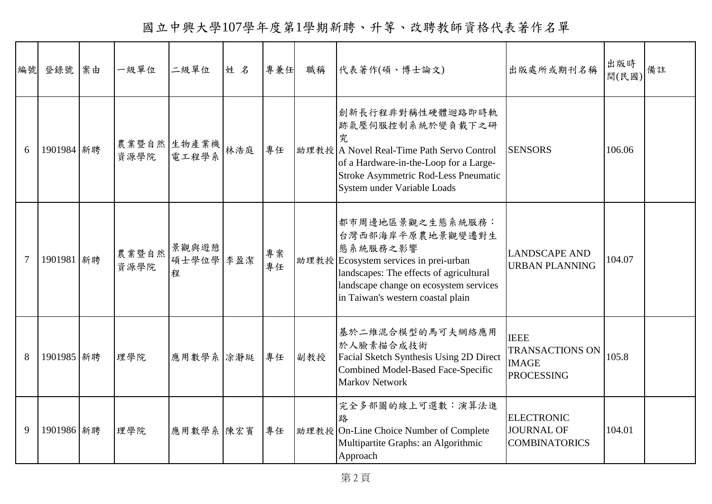國立中興大學107學年度第1學期新聘、升等、改聘教師資格代表著作名單

| 編號             | 登錄號        | 案由 | 一級單位                    | 二級單位                    | 姓名 | 專兼任      | 職稱  | 代表著作(碩、博士論文)                                                                                                                                                                                                        | 出版處所或期刊名稱                                                                  | 出版時<br>間(民國) | 備註 |
|----------------|------------|----|-------------------------|-------------------------|----|----------|-----|---------------------------------------------------------------------------------------------------------------------------------------------------------------------------------------------------------------------|----------------------------------------------------------------------------|--------------|----|
| 6              | 1901984 新聘 |    | 農業暨自然 生物產業機 林浩庭<br>資源學院 | 電工程學系                   |    | 專任       |     | 創新長行程非對稱性硬體迴路即時軌<br>跡氣壓伺服控制系統於變負載下之研<br>究<br>助理教授 A Novel Real-Time Path Servo Control<br>of a Hardware-in-the-Loop for a Large-<br>Stroke Asymmetric Rod-Less Pneumatic<br>System under Variable Loads             | <b>SENSORS</b>                                                             | 106.06       |    |
| $\overline{7}$ | 1901981 新聘 |    | 農業暨自然<br>資源學院           | 景觀與遊憩<br>碩士學位學 李盈潔<br>程 |    | 專案<br>專任 |     | 都市周邊地區景觀之生態系統服務:<br>台灣西部海岸平原農地景觀變遷對生<br>態系統服務之影響<br>助理教授 Ecosystem services in prei-urban<br>landscapes: The effects of agricultural<br>landscape change on ecosystem services<br>in Taiwan's western coastal plain | <b>LANDSCAPE AND</b><br><b>URBAN PLANNING</b>                              | 104.07       |    |
| 8              | 1901985 新聘 |    | 理學院                     | 應用數學系 涂瀞珽               |    | 專任       | 副教授 | 基於二維混合模型的馬可夫網絡應用<br>於人臉素描合成技術<br>Facial Sketch Synthesis Using 2D Direct<br><b>Combined Model-Based Face-Specific</b><br><b>Markov Network</b>                                                                      | <b>IEEE</b><br><b>TRANSACTIONS ON</b><br><b>IMAGE</b><br><b>PROCESSING</b> | 105.8        |    |
| 9              | 1901986 新聘 |    | 理學院                     | 應用數學系陳宏賓                |    | 專任       |     | 完全多部圖的線上可選數:演算法進<br>路<br>助理教授 On-Line Choice Number of Complete<br>Multipartite Graphs: an Algorithmic<br>Approach                                                                                                  | <b>ELECTRONIC</b><br><b>JOURNAL OF</b><br><b>COMBINATORICS</b>             | 104.01       |    |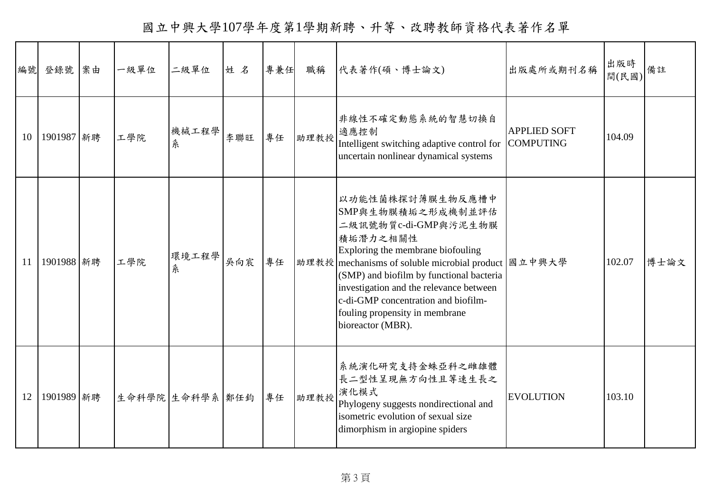國立中興大學107學年度第1學期新聘、升等、改聘教師資格代表著作名單

| 編號 | 登錄號        | 案由 | 一級單位 | 二級單位            | 姓名  | 專兼任 | 職稱   | 代表著作(碩、博士論文)                                                                                                                                                                                                                                                                                                                                                 | 出版處所或期刊名稱           | 出版時<br>間(民國) | 備註   |
|----|------------|----|------|-----------------|-----|-----|------|--------------------------------------------------------------------------------------------------------------------------------------------------------------------------------------------------------------------------------------------------------------------------------------------------------------------------------------------------------------|---------------------|--------------|------|
| 10 | 1901987 新聘 |    | 工學院  | 機械工程學<br>糸      | 李聯旺 | 專任  | 助理教授 | 非線性不確定動態系統的智慧切換自<br>適應控制<br>Intelligent switching adaptive control for COMPUTING<br>uncertain nonlinear dynamical systems                                                                                                                                                                                                                                    | <b>APPLIED SOFT</b> | 104.09       |      |
| 11 | 1901988 新聘 |    | 工學院  | 環境工程學<br>糸      | 吳向宸 | 專任  |      | 以功能性菌株探討薄膜生物反應槽中<br>SMP與生物膜積垢之形成機制並評估<br>二級訊號物質c-di-GMP與污泥生物膜<br>積垢潛力之相關性<br>Exploring the membrane biofouling<br>助理教授 mechanisms of soluble microbial product   國立中興大學<br>(SMP) and biofilm by functional bacteria<br>investigation and the relevance between<br>c-di-GMP concentration and biofilm-<br>fouling propensity in membrane<br>bioreactor (MBR). |                     | 102.07       | 博士論文 |
| 12 | 1901989 新聘 |    |      | 生命科學院 生命科學系 鄭任鈞 |     | 專任  | 助理教授 | 系統演化研究支持金蛛亞科之雌雄體<br>長二型性呈現無方向性且等速生長之<br>演化模式<br>Phylogeny suggests nondirectional and<br>isometric evolution of sexual size<br>dimorphism in argiopine spiders                                                                                                                                                                                               | <b>EVOLUTION</b>    | 103.10       |      |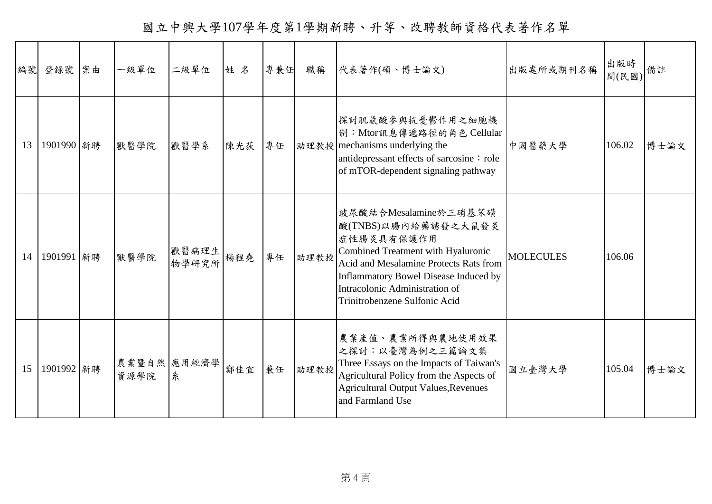國立中興大學107學年度第1學期新聘、升等、改聘教師資格代表著作名單

|    | 編號 登錄號 案由  | 一級單位 | 二級單位             | 姓名  | 專兼任 | 職稱   | 代表著作(碩、博士論文)                                                                                                                                                                                                                                                         | 出版處所或期刊名稱        | 出版時<br>間(民國) | 備註   |
|----|------------|------|------------------|-----|-----|------|----------------------------------------------------------------------------------------------------------------------------------------------------------------------------------------------------------------------------------------------------------------------|------------------|--------------|------|
| 13 | 1901990 新聘 | 獸醫學院 | 獸醫學系             | 陳光荻 | 專任  |      | 探討肌氨酸參與抗憂鬱作用之細胞機<br>制: Mtor訊息傳遞路徑的角色 Cellular<br>助理教授 mechanisms underlying the<br>antidepressant effects of sarcosine: role<br>of mTOR-dependent signaling pathway                                                                                                  | 中國醫藥大學           | 106.02       | 博士論文 |
| 14 | 1901991 新聘 | 獸醫學院 | 獸醫病理生<br>物學研究所   | 楊程堯 | 專任  | 助理教授 | 玻尿酸結合Mesalamine於三硝基苯磺<br>酸(TNBS)以腸內給藥誘發之大鼠發炎<br>症性腸炎具有保護作用<br>Combined Treatment with Hyaluronic<br><b>Acid and Mesalamine Protects Rats from</b><br><b>Inflammatory Bowel Disease Induced by</b><br>Intracolonic Administration of<br>Trinitrobenzene Sulfonic Acid | <b>MOLECULES</b> | 106.06       |      |
| 15 | 1901992 新聘 | 資源學院 | 農業暨自然 應用經濟學<br>糸 | 鄭佳宜 | 兼任  | 助理教授 | 農業產值、農業所得與農地使用效果<br>之探討:以臺灣為例之三篇論文集<br>Three Essays on the Impacts of Taiwan's<br>Agricultural Policy from the Aspects of<br><b>Agricultural Output Values, Revenues</b><br>and Farmland Use                                                                         | 國立臺灣大學           | 105.04       | 博士論文 |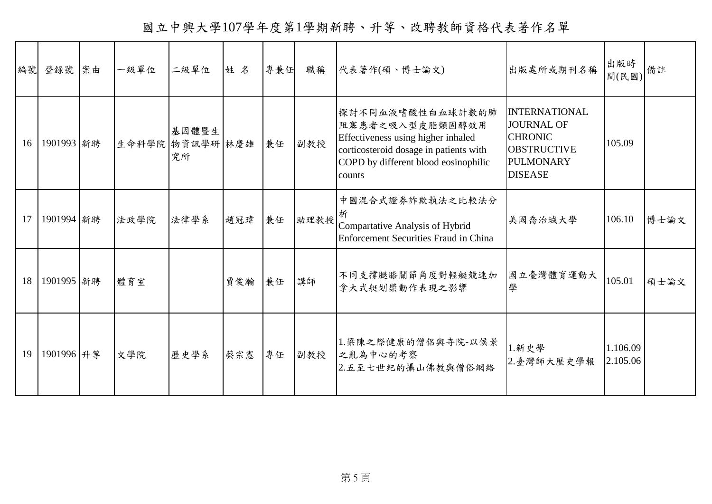國立中興大學107學年度第1學期新聘、升等、改聘教師資格代表著作名單

| 編號 | 登錄號        | 案由 | 一級單位 | 二級單位                           | 姓名  | 專兼任 | 職稱   | 代表著作(碩、博士論文)                                                                                                                                                          | 出版處所或期刊名稱                                                                                                               | 出版時<br>間(民國)         | 備註   |
|----|------------|----|------|--------------------------------|-----|-----|------|-----------------------------------------------------------------------------------------------------------------------------------------------------------------------|-------------------------------------------------------------------------------------------------------------------------|----------------------|------|
| 16 | 1901993 新聘 |    |      | 基因體暨生<br>生命科學院 物資訊學研 林慶雄<br>究所 |     | 兼任  | 副教授  | 探討不同血液嗜酸性白血球計數的肺<br>阻塞患者之吸入型皮脂類固醇效用<br>Effectiveness using higher inhaled<br>corticosteroid dosage in patients with<br>COPD by different blood eosinophilic<br>counts | <b>INTERNATIONAL</b><br><b>JOURNAL OF</b><br><b>CHRONIC</b><br><b>OBSTRUCTIVE</b><br><b>PULMONARY</b><br><b>DISEASE</b> | 105.09               |      |
| 17 | 1901994 新聘 |    | 法政學院 | 法律學系                           | 趙冠瑋 | 兼任  | 助理教授 | 中國混合式證券詐欺執法之比較法分<br>析<br>Compartative Analysis of Hybrid<br><b>Enforcement Securities Fraud in China</b>                                                              | 美國喬治城大學                                                                                                                 | 106.10               | 博士論文 |
| 18 | 1901995 新聘 |    | 體育室  |                                | 賈俊瀚 | 兼任  | 講師   | 不同支撐腿膝關節角度對輕艇競速加<br>拿大式艇划槳動作表現之影響                                                                                                                                     | 國立臺灣體育運動大<br>學                                                                                                          | 105.01               | 碩士論文 |
| 19 | 1901996 升等 |    | 文學院  | 歷史學系                           | 蔡宗憲 | 專任  | 副教授  | 1.梁陳之際健康的僧侶與寺院-以侯景<br>之亂為中心的考察<br>2.五至七世紀的攝山佛教與僧俗網絡                                                                                                                   | 1.新史學<br>2.臺灣師大歷史學報                                                                                                     | 1.106.09<br>2.105.06 |      |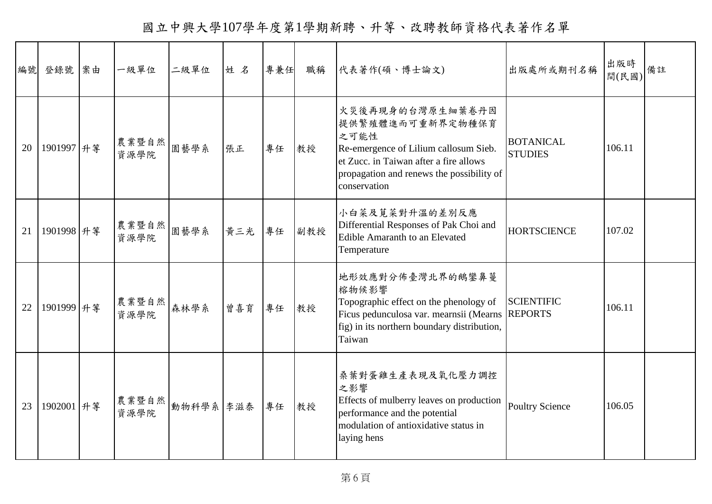國立中興大學107學年度第1學期新聘、升等、改聘教師資格代表著作名單

| 編號 | 登錄號        | 案由 | 一級單位          | 二級單位     | 姓名  | 專兼任 | 職稱  | 代表著作(碩、博士論文)                                                                                                                                                                                 | 出版處所或期刊名稱                          | 出版時<br>間(民國) | 備註 |
|----|------------|----|---------------|----------|-----|-----|-----|----------------------------------------------------------------------------------------------------------------------------------------------------------------------------------------------|------------------------------------|--------------|----|
| 20 | 1901997 升等 |    | 農業暨自然<br>資源學院 | 園藝學系     | 張正  | 專任  | 教授  | 火災後再現身的台灣原生細葉卷丹因<br>提供繁殖體進而可重新界定物種保育<br>之可能性<br>Re-emergence of Lilium callosum Sieb.<br>et Zucc. in Taiwan after a fire allows<br>propagation and renews the possibility of<br>conservation | <b>BOTANICAL</b><br><b>STUDIES</b> | 106.11       |    |
| 21 | 1901998 升等 |    | 農業暨自然<br>資源學院 | 園藝學系     | 黄三光 | 專任  | 副教授 | 小白菜及莧菜對升溫的差別反應<br>Differential Responses of Pak Choi and<br><b>Edible Amaranth to an Elevated</b><br>Temperature                                                                             | <b>HORTSCIENCE</b>                 | 107.02       |    |
| 22 | 1901999 升等 |    | 農業暨自然<br>資源學院 | 森林學系     | 曾喜育 | 專任  | 教授  | 地形效應對分佈臺灣北界的鵝鑾鼻蔓<br>榕物候影響<br>Topographic effect on the phenology of<br>Ficus pedunculosa var. mearnsii (Mearns REPORTS<br>fig) in its northern boundary distribution,<br>Taiwan              | <b>SCIENTIFIC</b>                  | 106.11       |    |
| 23 | 1902001 升等 |    | 農業暨自然<br>資源學院 | 動物科學系奉滋泰 |     | 專任  | 教授  | 桑葉對蛋雞生產表現及氧化壓力調控<br>之影響<br>Effects of mulberry leaves on production<br>performance and the potential<br>modulation of antioxidative status in<br>laying hens                                 | <b>Poultry Science</b>             | 106.05       |    |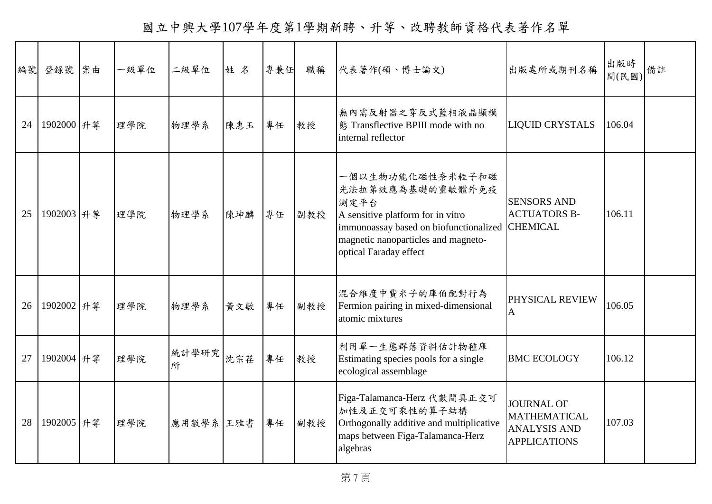國立中興大學107學年度第1學期新聘、升等、改聘教師資格代表著作名單

| 編號 | 登錄號        | 案由 | 一級單位 | 二級單位       | 姓名  | 專兼任 | 職稱  | 代表著作(碩、博士論文)                                                                                                                                                                                          | 出版處所或期刊名稱                                                                              | 出版時<br>間(民國) | 備註 |
|----|------------|----|------|------------|-----|-----|-----|-------------------------------------------------------------------------------------------------------------------------------------------------------------------------------------------------------|----------------------------------------------------------------------------------------|--------------|----|
| 24 | 1902000 升等 |    | 理學院  | 物理學系       | 陳惠玉 | 專任  | 教授  | 無內需反射器之穿反式藍相液晶顯模<br>態 Transflective BPIII mode with no<br>internal reflector                                                                                                                          | <b>LIQUID CRYSTALS</b>                                                                 | 106.04       |    |
| 25 | 1902003 升等 |    | 理學院  | 物理學系       | 陳坤麟 | 專任  | 副教授 | 一個以生物功能化磁性奈米粒子和磁<br>光法拉第效應為基礎的靈敏體外免疫<br>測定平台<br>A sensitive platform for in vitro<br>immunoassay based on biofunctionalized CHEMICAL<br>magnetic nanoparticles and magneto-<br>optical Faraday effect | <b>SENSORS AND</b><br><b>ACTUATORS B-</b>                                              | 106.11       |    |
| 26 | 1902002 升等 |    | 理學院  | 物理學系       | 黄文敏 | 專任  | 副教授 | 混合維度中費米子的庫伯配對行為<br>Fermion pairing in mixed-dimensional<br>atomic mixtures                                                                                                                            | PHYSICAL REVIEW<br>$\mathbf{A}$                                                        | 106.05       |    |
| 27 | 1902004 升等 |    | 理學院  | 統計學研究<br>所 | 沈宗荏 | 專任  | 教授  | 利用單一生態群落資料估計物種庫<br>Estimating species pools for a single<br>ecological assemblage                                                                                                                     | <b>BMC ECOLOGY</b>                                                                     | 106.12       |    |
| 28 | 1902005 升等 |    | 理學院  | 應用數學系 王雅書  |     | 專任  | 副教授 | Figa-Talamanca-Herz 代數間具正交可<br>加性及正交可乘性的算子結構<br>Orthogonally additive and multiplicative<br>maps between Figa-Talamanca-Herz<br>algebras                                                              | <b>JOURNAL OF</b><br><b>MATHEMATICAL</b><br><b>ANALYSIS AND</b><br><b>APPLICATIONS</b> | 107.03       |    |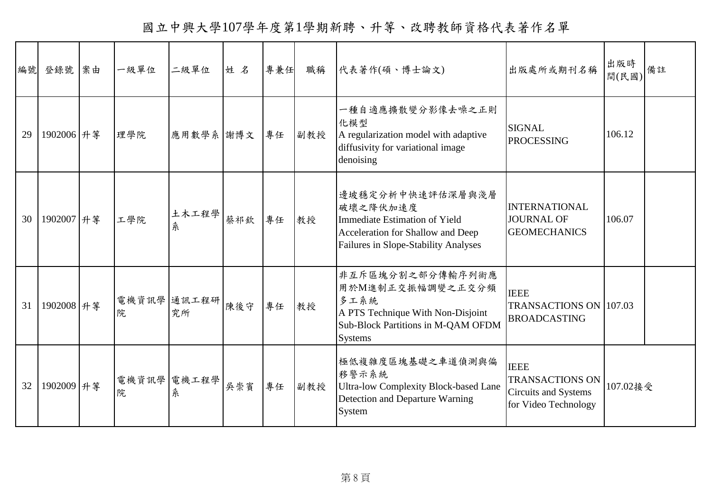國立中興大學107學年度第1學期新聘、升等、改聘教師資格代表著作名單

| 編號 | 登錄號        | 案由 | 一級單位 | 二級單位              | 姓名  | 專兼任 | 職稱  | 代表著作(碩、博士論文)                                                                                                                                      | 出版處所或期刊名稱                                                                                    | 出版時<br>間(民國) | 備註 |
|----|------------|----|------|-------------------|-----|-----|-----|---------------------------------------------------------------------------------------------------------------------------------------------------|----------------------------------------------------------------------------------------------|--------------|----|
| 29 | 1902006 升等 |    | 理學院  | 應用數學系 謝博文         |     | 專任  | 副教授 | 一種自適應擴散變分影像去噪之正則<br>化模型<br>A regularization model with adaptive<br>diffusivity for variational image<br>denoising                                 | <b>SIGNAL</b><br><b>PROCESSING</b>                                                           | 106.12       |    |
| 30 | 1902007 升等 |    | 工學院  | 土木工程學<br>糸        | 蔡祁欽 | 專任  | 教授  | 邊坡穩定分析中快速評估深層與淺層<br>破壞之降伏加速度<br><b>Immediate Estimation of Yield</b><br>Acceleration for Shallow and Deep<br>Failures in Slope-Stability Analyses | <b>INTERNATIONAL</b><br><b>JOURNAL OF</b><br><b>GEOMECHANICS</b>                             | 106.07       |    |
| 31 | 1902008 升第 |    | 院    | 電機資訊學 通訊工程研<br>究所 | 陳後守 | 專任  | 教授  | 非互斥區塊分割之部分傳輸序列術應<br>用於M進制正交振幅調變之正交分頻<br>多工系統<br>A PTS Technique With Non-Disjoint<br>Sub-Block Partitions in M-QAM OFDM<br><b>Systems</b>         | <b>IEEE</b><br>TRANSACTIONS ON 107.03<br><b>BROADCASTING</b>                                 |              |    |
| 32 | 1902009 升等 |    | 院    | 電機資訊學 電機工程學<br>糸  | 吳崇賓 | 專任  | 副教授 | 極低複雜度區塊基礎之車道偵測與偏<br>移警示系統<br><b>Ultra-low Complexity Block-based Lane</b><br>Detection and Departure Warning<br>System                            | <b>IEEE</b><br><b>TRANSACTIONS ON</b><br><b>Circuits and Systems</b><br>for Video Technology | 107.02接受     |    |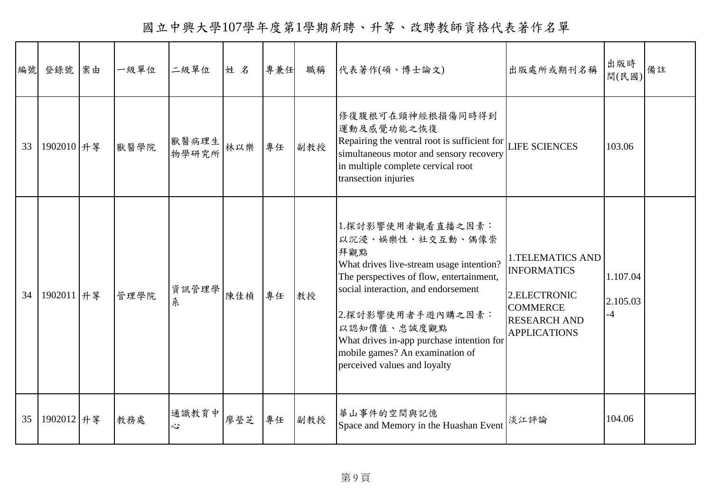國立中興大學107學年度第1學期新聘、升等、改聘教師資格代表著作名單

| 編號 | 登錄號        | 案由 | 一級單位 | 二級單位           | 姓名  | 專兼任 | 職稱  | 代表著作(碩、博士論文)                                                                                                                                                                                                                                                                                                                    | 出版處所或期刊名稱                                                                                                                      | 出版時<br>間(民國)                 | 備註 |
|----|------------|----|------|----------------|-----|-----|-----|---------------------------------------------------------------------------------------------------------------------------------------------------------------------------------------------------------------------------------------------------------------------------------------------------------------------------------|--------------------------------------------------------------------------------------------------------------------------------|------------------------------|----|
| 33 | 1902010 升等 |    | 獸醫學院 | 獸醫病理生<br>物學研究所 | 林以樂 | 專任  | 副教授 | 修復腹根可在頸神經根損傷同時得到<br>運動及感覺功能之恢復<br>Repairing the ventral root is sufficient for LIFE SCIENCES<br>simultaneous motor and sensory recovery<br>in multiple complete cervical root<br>transection injuries                                                                                                                           |                                                                                                                                | 103.06                       |    |
| 34 | 1902011 升等 |    | 管理學院 | 資訊管理學<br>糸     | 陳佳楨 | 專任  | 教授  | 1.探討影響使用者觀看直播之因素:<br>以沉浸、娛樂性、社交互動、偶像崇<br>拜觀點<br>What drives live-stream usage intention?<br>The perspectives of flow, entertainment,<br>social interaction, and endorsement<br>2.探討影響使用者手遊內購之因素:<br>以認知價值、忠誠度觀點<br>What drives in-app purchase intention for<br>mobile games? An examination of<br>perceived values and loyalty | <b>1.TELEMATICS AND</b><br><b>INFORMATICS</b><br>2.ELECTRONIC<br><b>COMMERCE</b><br><b>RESEARCH AND</b><br><b>APPLICATIONS</b> | 1.107.04<br>2.105.03<br>$-4$ |    |
| 35 | 1902012 升等 |    | 教務處  | 通識教育中<br>心     | 廖瑩芝 | 專任  | 副教授 | 華山事件的空間與記憶<br>Space and Memory in the Huashan Event                                                                                                                                                                                                                                                                             | 淡江評論                                                                                                                           | 104.06                       |    |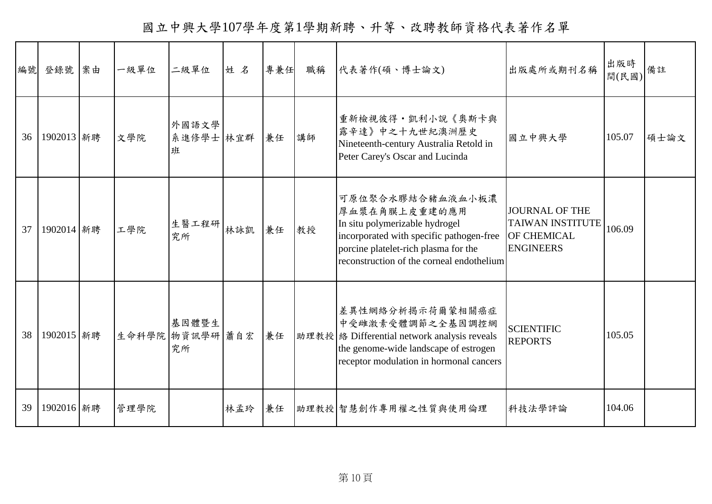國立中興大學107學年度第1學期新聘、升等、改聘教師資格代表著作名單

| 編號 | 登錄號 案由     | 一級單位 | 二級單位                           | 姓名  | 專兼任 | 職稱 | 代表著作(碩、博士論文)                                                                                                                                                                                         | 出版處所或期刊名稱                                                                                  | 出版時<br>間(民國) | 備註   |
|----|------------|------|--------------------------------|-----|-----|----|------------------------------------------------------------------------------------------------------------------------------------------------------------------------------------------------------|--------------------------------------------------------------------------------------------|--------------|------|
| 36 | 1902013 新聘 | 文學院  | 外國語文學<br>系進修學士 林宜群<br>班        |     | 兼任  | 講師 | 重新檢視彼得·凱利小說《奧斯卡與<br>露辛達》中之十九世紀澳洲歷史<br>Nineteenth-century Australia Retold in<br>Peter Carey's Oscar and Lucinda                                                                                      | 國立中興大學                                                                                     | 105.07       | 碩士論文 |
| 37 | 1902014 新聘 | 工學院  | 生醫工程研<br>究所                    | 林詠凱 | 兼任  | 教授 | 可原位聚合水膠結合豬血液血小板濃<br>厚血漿在角膜上皮重建的應用<br>In situ polymerizable hydrogel<br>incorporated with specific pathogen-free<br>porcine platelet-rich plasma for the<br>reconstruction of the corneal endothelium | <b>JOURNAL OF THE</b><br><b>TAIWAN INSTITUTE</b><br><b>OF CHEMICAL</b><br><b>ENGINEERS</b> | 106.09       |      |
| 38 | 1902015 新聘 |      | 基因體暨生<br>生命科學院 物資訊學研 蕭自宏<br>究所 |     | 兼任  |    | 差異性網絡分析揭示荷爾蒙相關癌症<br>中受雌激素受體調節之全基因調控網<br>助理教授 络 Differential network analysis reveals<br>the genome-wide landscape of estrogen<br>receptor modulation in hormonal cancers                             | <b>SCIENTIFIC</b><br><b>REPORTS</b>                                                        | 105.05       |      |
| 39 | 1902016 新聘 | 管理學院 |                                | 林孟玲 | 兼任  |    | 助理教授 智慧創作專用權之性質與使用倫理                                                                                                                                                                                 | 科技法學評論                                                                                     | 104.06       |      |